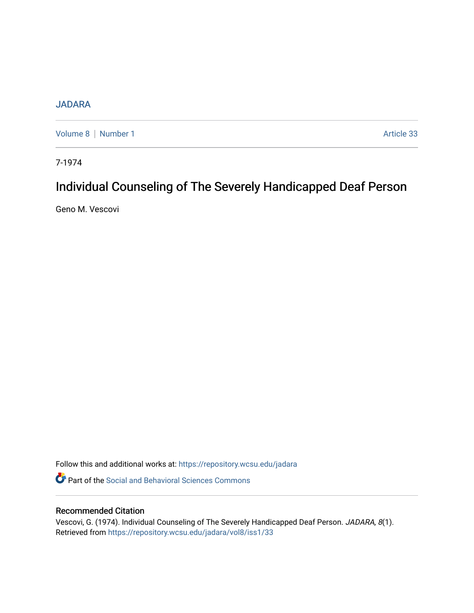## **[JADARA](https://repository.wcsu.edu/jadara)**

[Volume 8](https://repository.wcsu.edu/jadara/vol8) | [Number 1](https://repository.wcsu.edu/jadara/vol8/iss1) Article 33

7-1974

# Individual Counseling of The Severely Handicapped Deaf Person

Geno M. Vescovi

Follow this and additional works at: [https://repository.wcsu.edu/jadara](https://repository.wcsu.edu/jadara?utm_source=repository.wcsu.edu%2Fjadara%2Fvol8%2Fiss1%2F33&utm_medium=PDF&utm_campaign=PDFCoverPages)

**P** Part of the Social and Behavioral Sciences Commons

### Recommended Citation

Vescovi, G. (1974). Individual Counseling of The Severely Handicapped Deaf Person. JADARA, 8(1). Retrieved from [https://repository.wcsu.edu/jadara/vol8/iss1/33](https://repository.wcsu.edu/jadara/vol8/iss1/33?utm_source=repository.wcsu.edu%2Fjadara%2Fvol8%2Fiss1%2F33&utm_medium=PDF&utm_campaign=PDFCoverPages)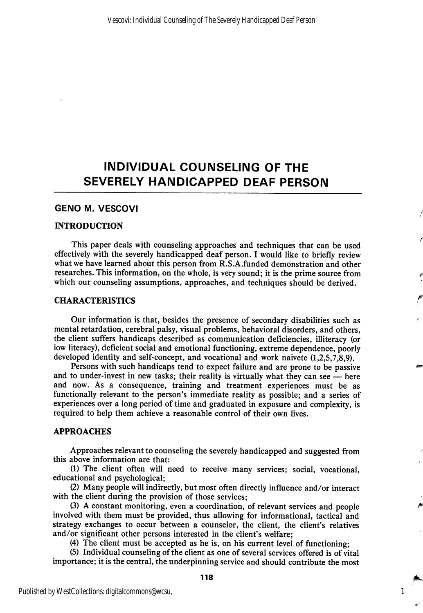## INDIVIDUAL COUNSELING OF THE SEVERELY HANDICAPPED DEAF PERSON

#### GENO M. VESCOVI

#### INTRODUCTION

This paper deals with counseling approaches and techniques that can be used effectively with the severely handicapped deaf person. I would like to briefly review what we have learned about this person from R.S.A.funded demonstration and other researches. This information, on the whole, is very sound; it is the prime source from which our counseling assumptions, approaches, and techniques should be derived.

#### CHARACTERISTICS

Our information is that, besides the presence of secondary disabilities such as mental retardation, cerebral palsy, visual problems, behavioral disorders, and others, the client suffers handicaps described as communication deficiencies, illiteracy (or low literacy), deficient social and emotional functioning, extreme dependence, poorly developed identity and self-concept, and vocational and work naivete (1,2,5,7,8,9).

Persons with such handicaps tend to expect failure and are prone to be passive and to under-invest in new tasks; their reality is virtually what they can see  $\ddot{\text{}}$  here and now. As a consequence, training and treatment experiences must be as functionally relevant to the person's immediate reality as possible; and a series of experiences over a long period of time and graduated in exposure and complexity, is required to help them achieve a reasonable control of their own lives.

#### APPROACHES

Approaches relevant to counseling the severely handicapped and suggested from this above information are that:

(1) The client often will need to receive many services; social, vocational, educational and psychological;

(2) Many people will indirectly, but most often directly influence and/or interact with the client during the provision of those services;

(3) A constant monitoring, even a coordination, of relevant services and people involved with them must be provided, thus allowing for informational, tactical and strategy exchanges to occur between a counselor, the client, the client's relatives and/or significant other persons interested in the client's welfare;

(4) The client must be accepted as he is, on his current level of functioning;

(5) Individual counseling of the client as one of several services offered is of vital importance; it is the central, the underpinning service and should contribute the most

1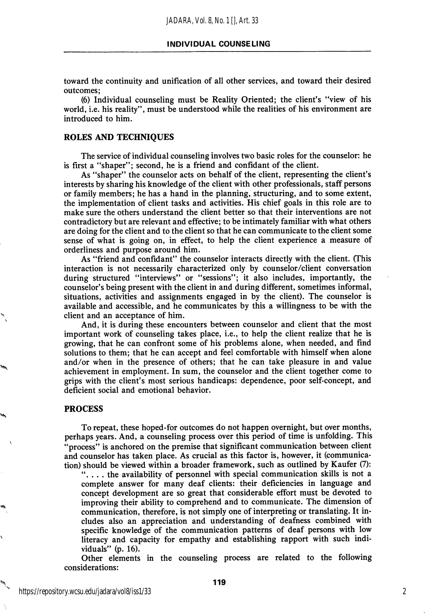toward the continuity and unification of all other services, and toward their desired outcomes;

(6) Individual counseling must be Reality Oriented; the client's "view of his world, i.e. his reality", must be understood while the realities of his environment are introduced to him.

#### ROLES AND TECHNIQUES

The service of individual counseling involves two basic roles for the counselor: he is first a "shaper"; second, he is a friend and confidant of the client.

As "shaper" the counselor acts on behalf of the client, representing the client's interests by sharing his knowledge of the client with other professionals, staff persons or family members; he has a hand in the planning, structuring, and to some extent, the implementation of client tasks and activities. His chief goals in this role are to make sure the others understand the client better so that their interventions are not contradictory but are relevant and effective; to be intimately familiar with what others are doing for the client and to the client so that he can communicate to the client some sense of what is going on, in effect, to help the client experience a measure of orderliness and purpose around him.

As "friend and confidant" the counselor interacts directly with the client. (This interaction is not necessarily characterized only by counselor/client conversation during structured "interviews" or "sessions"; it also includes, importantly, the counselor's being present with the client in and during different, sometimes informal, situations, activities and assignments engaged in by the client). The counselor is available and accessible, and he communicates by this a willingness to be with the client and an acceptance of him.

And, it is during these encounters between counselor and client that the most important work of counseling takes place, i.e., to help the client realize that he is growing, that he can confront some of his problems alone, when needed, and find solutions to them; that he can accept and feel comfortable with himself when alone and/or when in the presence of others; that he can take pleasure in and value achievement in employment. In sum, the counselor and the client together come to grips with the client's most serious handicaps: dependence, poor self-concept, and deficient social and emotional behavior.

#### PROCESS

To repeat, these hoped-for outcomes do not happen overnight, but over months, perhaps years. And, a counseling process over this period of time is unfolding. This "process" is anchored on the premise that significant communication between client and counselor has taken place. As crucial as this factor is, however, it (communica tion) should be viewed within a broader framework, such as outlined by Kaufer (7):

". . . . the availability of personnel with special communication skills is not a complete answer for many deaf clients: their deficiencies in language and concept development are so great that considerable effort must be devoted to improving their ability to comprehend and to communicate. The dimension of communication, therefore, is not simply one of interpreting or translating. It in cludes also an appreciation and understanding of deafness combined with specific knowledge of the communication patterns of deaf persons with low literacy and capacity for empathy and establishing rapport with such indi viduals" (p. 16).

Other elements in the counseling process are related to the following considerations: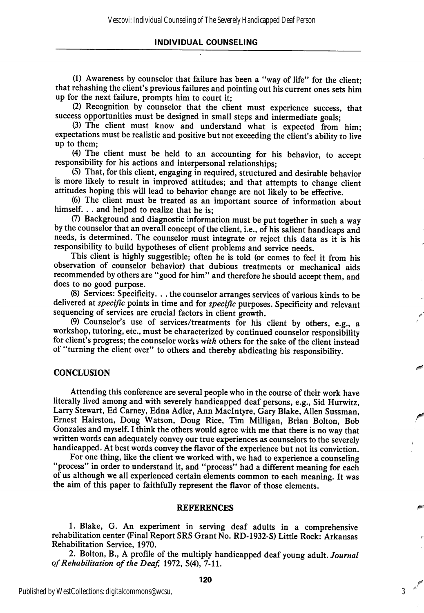#### INDIVIDUAL COUNSELING

(1) Awareness by counselor that failure has been a "way of life" for the client; that rehashing the client's previous failures and pointing out his current ones sets him up for the next failure, prompts him to court it;

(2) Recognition by counselor that the client must experience success, that success opportunities must be designed in small steps and intermediate goals;

(3) The client must know and understand what is expected from him; expectations must be realistic and positive but not exceeding the client's ability to live up to them;

(4) The client must be held to an accounting for his behavior, to accept responsibility for his actions and interpersonal relationships;

(5) That, for this client, engaging in required, structured and desirable behavior is more likely to result in improved attitudes; and that attempts to change client attitudes hoping this will lead to behavior change are not likely to be effective.

(6) The client must be treated as an important source of information about himself. . . and helped to realize that he is;

(7) Background and diagnostic information must be put together in such a way by the counselor that an overall concept of the client, i.e., of his salient handicaps and needs, is determined. The counselor must integrate or reject this data as it is his responsibility to build hypotheses of client problems and service needs.

This client is highly suggestible; often he is told (or comes to feel it from his observation of counselor behavior) that dubious treatments or mechanical aids recommended by others are "good for him" and therefore he should accept them, and does to no good purpose.

(8) Services: Specificity. . . the counselor arranges services of various kinds to be delivered at specific points in time and for specific purposes. Specificity and relevant sequencing of services are crucial factors in client growth.

(9) Counselor's use of services/treatments for his client by others, e.g., a workshop, tutoring, etc., must be characterized by continued counselor responsibility for client's progress; the counselor works with others for the sake of the client instead of "turning the client over" to others and thereby abdicating his responsibility.

#### **CONCLUSION**

Attending this conference are several people who in the course of their work have literally lived among and with severely handicapped deaf persons, e.g., Sid Hurwitz, Larry Stewart, Ed Carney, Edna Adler, Ann Maclntyre, Gary Blake, Allen Sussman, Ernest Hairston, Doug Watson, Doug Rice, Tim Milligan, Brian Bolton, Bob Gonzales and myself. I think the others would agree with me that there is no way that written words can adequately convey our true experiences as counselors to the severely handicapped. At best words convey the flavor of the experience but not its conviction.

For one thing, like the client we worked with, we had to experience a counseling "process" in order to understand it, and "process" had a different meaning for each of us although we all experienced certain elements common to each meaning. It was the aim of this paper to faithfully represent the flavor of those elements.

#### REFERENCES

1. Blake, G. An experiment in serving deaf adults in a comprehensive rehabilitation center (Final Report SRS Grant No. RD-1932-S) Little Rock: Arkansas Rehabilitation Service, 1970.

2. Bolton, B., A profile of the multiply handicapped deaf young adult. Journal of Rehabilitation of the Deaf,  $1972, 5(4), 7-11$ .